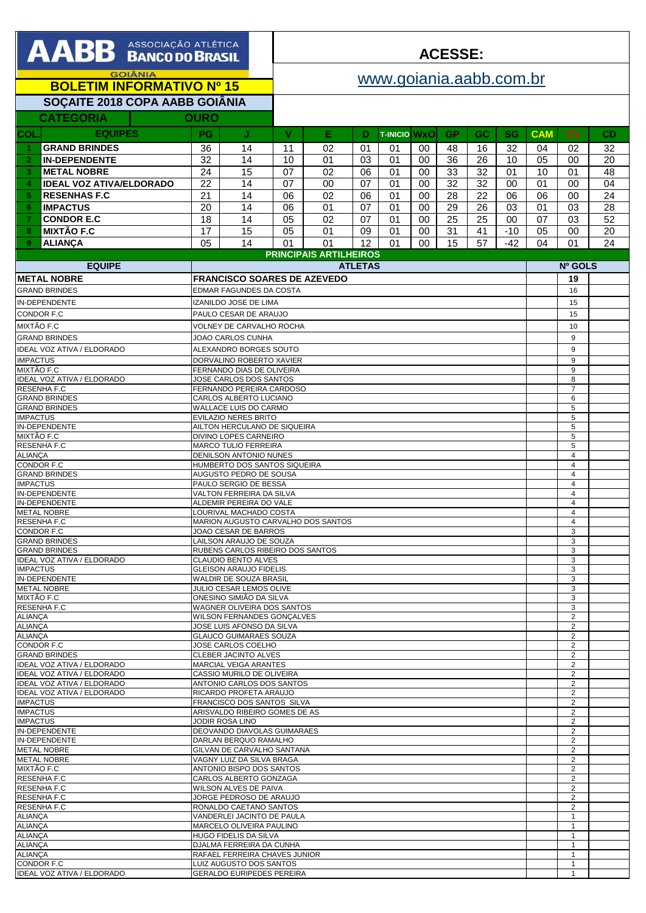| AABB ASSOCIAÇÃO ATLÉTICA                                               |                                                                                          |                                                             | <b>ACESSE:</b>          |          |          |                     |                     |                                           |           |           |            |                                  |                 |
|------------------------------------------------------------------------|------------------------------------------------------------------------------------------|-------------------------------------------------------------|-------------------------|----------|----------|---------------------|---------------------|-------------------------------------------|-----------|-----------|------------|----------------------------------|-----------------|
| <b>GOIÂNIA</b>                                                         |                                                                                          |                                                             | www.goiania.aabb.com.br |          |          |                     |                     |                                           |           |           |            |                                  |                 |
| <b>BOLETIM INFORMATIVO Nº 15</b>                                       |                                                                                          |                                                             |                         |          |          |                     |                     |                                           |           |           |            |                                  |                 |
| SOÇAITE 2018 COPA AABB GOIÂNIA<br><b>CATEGORIA</b><br><b>OURO</b>      |                                                                                          |                                                             |                         |          |          |                     |                     |                                           |           |           |            |                                  |                 |
| <b>EQUIPES</b><br>COL                                                  | <b>PG</b>                                                                                | J.                                                          | $\mathbf{V}$            | Е        | D        | <b>T-INICIO WXO</b> |                     | <b>GP</b>                                 | <b>GC</b> | <b>SG</b> | <b>CAM</b> | <b>CV</b>                        | CD              |
| <b>GRAND BRINDES</b><br>-1.                                            | 36                                                                                       | 14                                                          | 11                      | 02       | 01       | 01                  | 00                  | 48                                        | 16        | 32        | 04         | 02                               | 32              |
| <b>IN-DEPENDENTE</b><br>$\overline{2}$                                 | 32                                                                                       | 14                                                          | 10                      | 01       | 03       | 01                  | 00                  | $\overline{36}$                           | 26        | 10        | 05         | 00                               | 20              |
| <b>METAL NOBRE</b><br>3                                                | 24                                                                                       | 15                                                          | 07                      | 02       | 06       | 01                  | 00                  | 33                                        | 32        | 01        | 10         | 01                               | 48              |
| <b>IDEAL VOZ ATIVA/ELDORADO</b><br>4                                   | 22                                                                                       | 14                                                          | 07                      | 00       | 07       | 01                  | 00                  | 32                                        | 32        | 00        | 01         | 00                               | 04              |
| <b>RESENHAS F.C</b><br>5.<br><b>IMPACTUS</b><br>6                      | 21<br>20                                                                                 | 14<br>14                                                    | 06<br>06                | 02<br>01 | 06<br>07 | 01<br>01            | 00<br>00            | 28<br>29                                  | 22<br>26  | 06<br>03  | 06<br>01   | 00<br>03                         | 24<br>28        |
| <b>CONDOR E.C</b><br>7                                                 | 18                                                                                       | 14                                                          | 05                      | 02       | 07       | 01                  | 00                  | 25                                        | 25        | 00        | 07         | 03                               | $\overline{52}$ |
| <b>MIXTÃO F.C</b><br>8                                                 | 17                                                                                       | 15                                                          | 05                      | 01       | 09       | 01                  | 00                  | 31                                        | 41        | $-10$     | 05         | 00                               | 20              |
| <b>ALIANCA</b><br>9                                                    | 05                                                                                       | 14                                                          | 01                      | 01       | 12       | 01                  | 00                  | 15                                        | 57        | $-42$     | 04         | 01                               | 24              |
| <b>PRINCIPAIS ARTILHEIROS</b><br><b>EQUIPE</b><br><b>ATLETAS</b>       |                                                                                          |                                                             |                         |          |          |                     |                     |                                           |           |           | Nº GOLS    |                                  |                 |
| <b>METAL NOBRE</b>                                                     | <b>FRANCISCO SOARES DE AZEVEDO</b>                                                       |                                                             |                         |          |          |                     |                     |                                           | 19        |           |            |                                  |                 |
| <b>GRAND BRINDES</b>                                                   |                                                                                          | <b>EDMAR FAGUNDES DA COSTA</b>                              |                         |          |          |                     |                     |                                           |           |           |            | 16                               |                 |
| <b>IN-DEPENDENTE</b><br><b>CONDOR F.C</b>                              |                                                                                          | IZANILDO JOSE DE LIMA<br>PAULO CESAR DE ARAUJO              |                         |          |          |                     |                     |                                           |           |           |            | 15                               |                 |
| MIXTÃO F.C                                                             |                                                                                          | <b>VOLNEY DE CARVALHO ROCHA</b>                             |                         |          |          |                     |                     |                                           |           |           |            | 15<br>10                         |                 |
| <b>GRAND BRINDES</b>                                                   |                                                                                          | JOAO CARLOS CUNHA                                           |                         |          |          |                     |                     |                                           |           |           |            | 9                                |                 |
| <b>IDEAL VOZ ATIVA / ELDORADO</b>                                      |                                                                                          | ALEXANDRO BORGES SOUTO                                      |                         |          |          |                     |                     |                                           |           |           |            | 9                                |                 |
| <b>IMPACTUS</b><br>MIXTÃO F.C                                          |                                                                                          | DORVALINO ROBERTO XAVIER<br>FERNANDO DIAS DE OLIVEIRA       |                         |          |          |                     |                     |                                           |           |           |            | 9<br>9                           |                 |
| IDEAL VOZ ATIVA / ELDORADO                                             |                                                                                          | JOSE CARLOS DOS SANTOS                                      |                         |          |          |                     |                     |                                           |           |           |            | 8                                |                 |
| <b>RESENHA F.C</b><br><b>GRAND BRINDES</b>                             |                                                                                          | FERNANDO PEREIRA CARDOSO<br>CARLOS ALBERTO LUCIANO          |                         |          |          |                     |                     |                                           |           |           |            | $\overline{7}$<br>6              |                 |
| <b>GRAND BRINDES</b><br><b>IMPACTUS</b>                                |                                                                                          | WALLACE LUIS DO CARMO                                       |                         |          |          |                     |                     |                                           |           |           |            | 5<br>5                           |                 |
| IN-DEPENDENTE                                                          | <b>EVILAZIO NERES BRITO</b><br>AILTON HERCULANO DE SIQUEIRA                              |                                                             |                         |          |          |                     | 5                   |                                           |           |           |            |                                  |                 |
| MIXTÃO F.C<br><b>RESENHA F.C</b>                                       | DIVINO LOPES CARNEIRO                                                                    |                                                             |                         |          |          |                     |                     | 5<br>5                                    |           |           |            |                                  |                 |
| <b>ALIANÇA</b>                                                         | <b>MARCO TULIO FERREIRA</b><br><b>DENILSON ANTONIO NUNES</b>                             |                                                             |                         |          |          |                     | $\overline{4}$      |                                           |           |           |            |                                  |                 |
| <b>CONDOR F.C</b><br><b>GRAND BRINDES</b>                              |                                                                                          | HUMBERTO DOS SANTOS SIQUEIRA                                |                         |          |          |                     |                     |                                           |           |           |            | $\overline{4}$<br>$\overline{4}$ |                 |
| <b>IMPACTUS</b>                                                        | AUGUSTO PEDRO DE SOUSA<br>PAULO SERGIO DE BESSA                                          |                                                             |                         |          |          |                     |                     | $\overline{4}$                            |           |           |            |                                  |                 |
| <b>IN-DEPENDENTE</b><br>IN-DEPENDENTE                                  | VALTON FERREIRA DA SILVA<br>ALDEMIR PEREIRA DO VALE                                      |                                                             |                         |          |          |                     |                     | $\overline{4}$<br>$\overline{4}$          |           |           |            |                                  |                 |
| <b>METAL NOBRE</b><br><b>RESENHA F.C</b>                               | LOURIVAL MACHADO COSTA                                                                   |                                                             |                         |          |          |                     |                     | $\overline{4}$<br>$\overline{\mathbf{A}}$ |           |           |            |                                  |                 |
| <b>CONDOR F.C</b>                                                      |                                                                                          | MARION AUGUSTO CARVALHO DOS SANTOS<br>JOAO CESAR DE BARROS  |                         |          |          |                     |                     |                                           | 3         |           |            |                                  |                 |
| <b>GRAND BRINDES</b><br><b>GRAND BRINDES</b>                           |                                                                                          | LAILSON ARAUJO DE SOUZA                                     |                         |          |          |                     |                     |                                           |           |           |            | 3<br>3                           |                 |
| <b>IDEAL VOZ ATIVA / ELDORADO</b>                                      | RUBENS CARLOS RIBEIRO DOS SANTOS<br><b>CLAUDIO BENTO ALVES</b>                           |                                                             |                         |          |          |                     |                     | 3                                         |           |           |            |                                  |                 |
| <b>IMPACTUS</b><br>IN-DEPENDENTE                                       | <b>GLEISON ARAUJO FIDELIS</b><br>WALDIR DE SOUZA BRASIL                                  |                                                             |                         |          |          |                     | 3<br>3              |                                           |           |           |            |                                  |                 |
| <b>METAL NOBRE</b>                                                     | JULIO CESAR LEMOS OLIVE                                                                  |                                                             |                         |          |          |                     |                     | 3                                         |           |           |            |                                  |                 |
| MIXTÃO F.C<br><b>RESENHA F.C</b>                                       | ONESINO SIMIÃO DA SILVA<br>WAGNER OLIVEIRA DOS SANTOS                                    |                                                             |                         |          |          |                     |                     | 3<br>3                                    |           |           |            |                                  |                 |
| <b>ALIANCA</b>                                                         | WILSON FERNANDES GONCALVES                                                               |                                                             |                         |          |          |                     |                     | $\overline{2}$                            |           |           |            |                                  |                 |
| <b>ALIANÇA</b><br><b>ALIANÇA</b>                                       | JOSE LUIS AFONSO DA SILVA<br><b>GLAUCO GUIMARAES SOUZA</b>                               |                                                             |                         |          |          |                     |                     | $\overline{2}$<br>$\overline{2}$          |           |           |            |                                  |                 |
| CONDOR F.C<br><b>GRAND BRINDES</b>                                     | JOSE CARLOS COELHO                                                                       |                                                             |                         |          |          |                     |                     | $\overline{2}$                            |           |           |            |                                  |                 |
| <b>IDEAL VOZ ATIVA / ELDORADO</b>                                      | CLEBER JACINTO ALVES<br>$\overline{c}$<br><b>MARCIAL VEIGA ARANTES</b><br>$\overline{2}$ |                                                             |                         |          |          |                     |                     |                                           |           |           |            |                                  |                 |
| <b>IDEAL VOZ ATIVA / ELDORADO</b><br><b>IDEAL VOZ ATIVA / ELDORADO</b> | CASSIO MURILO DE OLIVEIRA                                                                |                                                             |                         |          |          |                     |                     | $\overline{2}$                            |           |           |            |                                  |                 |
| <b>IDEAL VOZ ATIVA / ELDORADO</b>                                      | ANTONIO CARLOS DOS SANTOS<br>$\overline{2}$<br>RICARDO PROFETA ARAUJO<br>$\overline{2}$  |                                                             |                         |          |          |                     |                     |                                           |           |           |            |                                  |                 |
| <b>IMPACTUS</b><br><b>IMPACTUS</b>                                     | FRANCISCO DOS SANTOS SILVA<br>ARISVALDO RIBEIRO GOMES DE AS                              |                                                             |                         |          |          |                     | 2<br>$\overline{2}$ |                                           |           |           |            |                                  |                 |
| <b>IMPACTUS</b>                                                        | JODIR ROSA LINO                                                                          |                                                             |                         |          |          |                     |                     | 2                                         |           |           |            |                                  |                 |
| IN-DEPENDENTE<br>IN-DEPENDENTE                                         | DEOVANDO DIAVOLAS GUIMARAES<br>DARLAN BERQUO RAMALHO                                     |                                                             |                         |          |          |                     |                     | $\overline{2}$<br>2                       |           |           |            |                                  |                 |
| <b>METAL NOBRE</b>                                                     | GILVAN DE CARVALHO SANTANA                                                               |                                                             |                         |          |          |                     |                     | $\overline{2}$                            |           |           |            |                                  |                 |
| <b>METAL NOBRE</b><br>MIXTÃO F.C                                       |                                                                                          | VAGNY LUIZ DA SILVA BRAGA<br>ANTONIO BISPO DOS SANTOS       |                         |          |          |                     |                     |                                           |           |           |            | 2<br>$\overline{2}$              |                 |
| <b>RESENHA F.C</b><br><b>RESENHA F.C</b>                               |                                                                                          | CARLOS ALBERTO GONZAGA                                      |                         |          |          |                     |                     |                                           |           |           |            | $\overline{2}$<br>$\overline{2}$ |                 |
| <b>RESENHA F.C</b>                                                     | WILSON ALVES DE PAIVA<br>JORGE PEDROSO DE ARAUJO                                         |                                                             |                         |          |          |                     |                     | 2                                         |           |           |            |                                  |                 |
| <b>RESENHA F.C</b><br><b>ALIANÇA</b>                                   |                                                                                          | RONALDO CAETANO SANTOS<br>VANDERLEI JACINTO DE PAULA        |                         |          |          |                     |                     |                                           |           |           |            | $\overline{2}$<br>$\mathbf{1}$   |                 |
| <b>ALIANÇA</b>                                                         |                                                                                          | MARCELO OLIVEIRA PAULINO                                    |                         |          |          |                     |                     |                                           |           |           |            | $\mathbf{1}$                     |                 |
| <b>ALIANÇA</b><br><b>ALIANÇA</b>                                       | HUGO FIDELIS DA SILVA<br>$\mathbf{1}$<br>DJALMA FERREIRA DA CUNHA<br>1                   |                                                             |                         |          |          |                     |                     |                                           |           |           |            |                                  |                 |
| <b>ALIANCA</b>                                                         | RAFAEL FERREIRA CHAVES JUNIOR<br>$\mathbf{1}$                                            |                                                             |                         |          |          |                     |                     |                                           |           |           |            |                                  |                 |
| <b>CONDOR F.C</b><br><b>IDEAL VOZ ATIVA / ELDORADO</b>                 |                                                                                          | LUIZ AUGUSTO DOS SANTOS<br><b>GERALDO EURIPEDES PEREIRA</b> |                         |          |          |                     |                     |                                           |           |           |            | 1<br>$\mathbf{1}$                |                 |
|                                                                        |                                                                                          |                                                             |                         |          |          |                     |                     |                                           |           |           |            |                                  |                 |